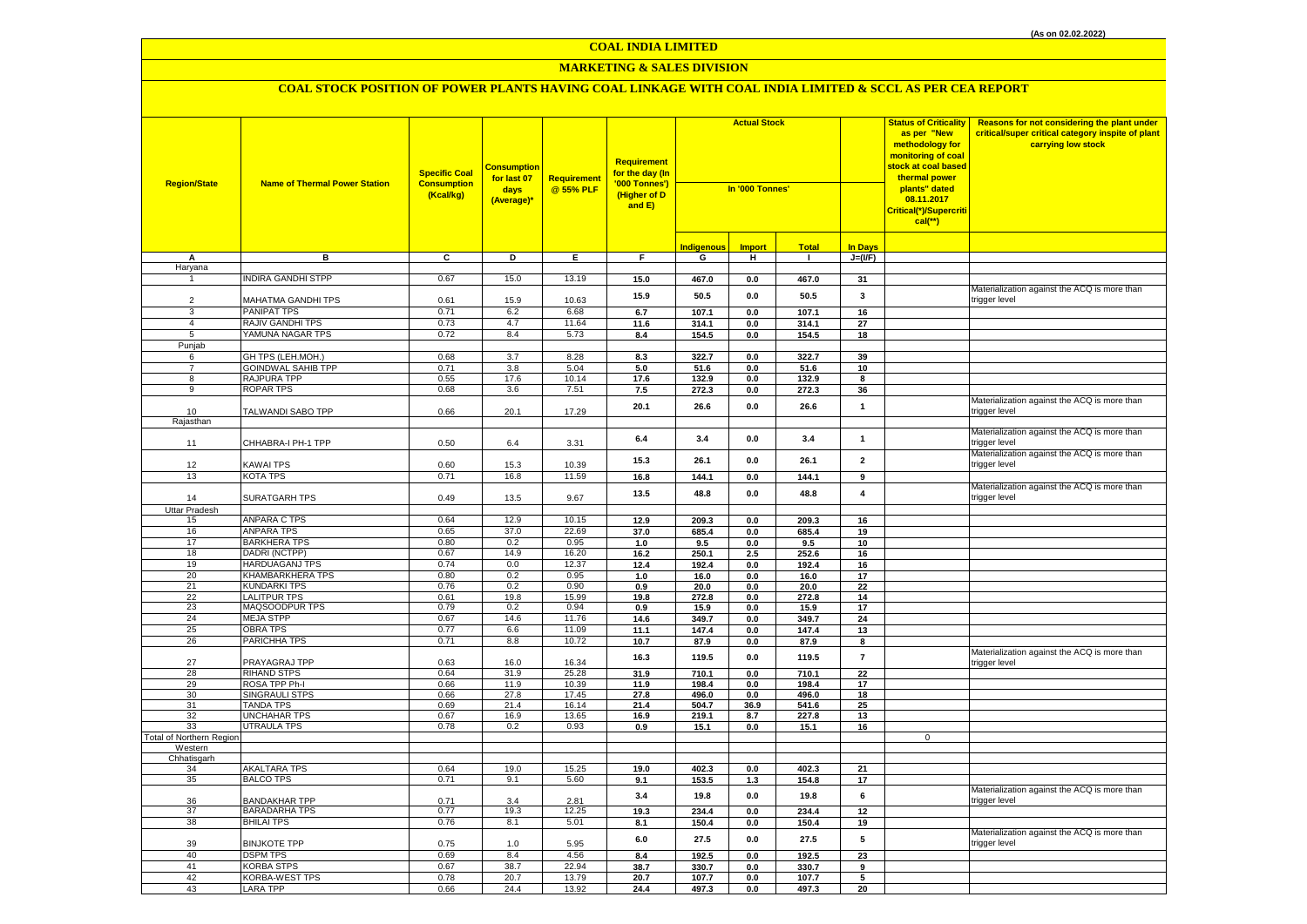# **MARKETING & SALES DIVISION**

| <b>Region/State</b>             | <b>Name of Thermal Power Station</b> | <b>Specific Coal</b><br><b>Consumption</b><br>(Kcal/kg) | <b>Consumption</b><br>for last 07<br>days<br>(Average)* | Requirement<br>@ 55% PLF | <b>Requirement</b><br>for the day (In<br>'000 Tonnes')<br>(Higher of D<br>and $E$ ) | <b>Actual Stock</b><br>In '000 Tonnes' |                |                |                         | <b>Status of Criticality</b><br>as per "New<br>methodology for<br>monitoring of coal<br><mark>stock at coal based</mark><br>thermal power<br>plants" dated<br>08.11.2017<br>Critical(*)/Supercriti<br>$cal$ (**) | Reasons for not considering the plant under<br>critical/super critical category inspite of plant<br>carrying low stock |
|---------------------------------|--------------------------------------|---------------------------------------------------------|---------------------------------------------------------|--------------------------|-------------------------------------------------------------------------------------|----------------------------------------|----------------|----------------|-------------------------|------------------------------------------------------------------------------------------------------------------------------------------------------------------------------------------------------------------|------------------------------------------------------------------------------------------------------------------------|
|                                 |                                      |                                                         |                                                         |                          |                                                                                     | <b>Indigenous</b>                      | <b>Import</b>  | <b>Total</b>   | <b>In Days</b>          |                                                                                                                                                                                                                  |                                                                                                                        |
| А<br>Haryana                    | в                                    | C                                                       | D                                                       | E                        | F.                                                                                  | G                                      | н              | $\mathbf{1}$   | $J=(VF)$                |                                                                                                                                                                                                                  |                                                                                                                        |
| $\mathbf{1}$                    | <b>NDIRA GANDHI STPP</b>             | 0.67                                                    | 15.0                                                    | 13.19                    | 15.0                                                                                | 467.0                                  | $0.0\,$        | 467.0          | 31                      |                                                                                                                                                                                                                  |                                                                                                                        |
|                                 |                                      |                                                         |                                                         |                          |                                                                                     |                                        |                |                |                         |                                                                                                                                                                                                                  | Materialization against the ACQ is more than                                                                           |
| $\overline{2}$                  | MAHATMA GANDHI TPS                   | 0.61                                                    | 15.9                                                    | 10.63                    | 15.9                                                                                | 50.5                                   | 0.0            | 50.5           | 3                       |                                                                                                                                                                                                                  | trigger level                                                                                                          |
| 3                               | <b>PANIPAT TPS</b>                   | 0.71                                                    | 6.2                                                     | 6.68                     | 6.7                                                                                 | 107.1                                  | 0.0            | 107.1          | 16                      |                                                                                                                                                                                                                  |                                                                                                                        |
| $\overline{4}$                  | RAJIV GANDHI TPS                     | 0.73                                                    | 4.7                                                     | 11.64                    | 11.6                                                                                | 314.1                                  | 0.0            | 314.1          | 27                      |                                                                                                                                                                                                                  |                                                                                                                        |
| 5                               | YAMUNA NAGAR TPS                     | 0.72                                                    | 8.4                                                     | 5.73                     | 8.4                                                                                 | 154.5                                  | 0.0            | 154.5          | 18                      |                                                                                                                                                                                                                  |                                                                                                                        |
| Punjab                          |                                      |                                                         |                                                         |                          |                                                                                     |                                        |                |                |                         |                                                                                                                                                                                                                  |                                                                                                                        |
| 6<br>$\overline{7}$             | GH TPS (LEH.MOH.)                    | 0.68<br>0.71                                            | 3.7<br>3.8                                              | 8.28                     | 8.3                                                                                 | 322.7                                  | 0.0            | 322.7          | 39                      |                                                                                                                                                                                                                  |                                                                                                                        |
| 8                               | GOINDWAL SAHIB TPP<br>RAJPURA TPP    | 0.55                                                    | 17.6                                                    | 5.04<br>10.14            | 5.0<br>17.6                                                                         | 51.6<br>132.9                          | 0.0<br>0.0     | 51.6<br>132.9  | 10<br>8                 |                                                                                                                                                                                                                  |                                                                                                                        |
| 9                               | <b>ROPAR TPS</b>                     | 0.68                                                    | 3.6                                                     | 7.51                     | 7.5                                                                                 | 272.3                                  | 0.0            | 272.3          | 36                      |                                                                                                                                                                                                                  |                                                                                                                        |
|                                 |                                      |                                                         |                                                         |                          |                                                                                     |                                        |                |                |                         |                                                                                                                                                                                                                  | Materialization against the ACQ is more than                                                                           |
| 10                              | TALWANDI SABO TPP                    | 0.66                                                    | 20.1                                                    | 17.29                    | 20.1                                                                                | 26.6                                   | 0.0            | 26.6           | $\mathbf{1}$            |                                                                                                                                                                                                                  | trigger level                                                                                                          |
| Rajasthan                       |                                      |                                                         |                                                         |                          |                                                                                     |                                        |                |                |                         |                                                                                                                                                                                                                  |                                                                                                                        |
|                                 |                                      |                                                         |                                                         |                          | 6.4                                                                                 | 3.4                                    | 0.0            | 3.4            | $\mathbf{1}$            |                                                                                                                                                                                                                  | Materialization against the ACQ is more than                                                                           |
| 11                              | CHHABRA-I PH-1 TPP                   | 0.50                                                    | 6.4                                                     | 3.31                     |                                                                                     |                                        |                |                |                         |                                                                                                                                                                                                                  | rigger level                                                                                                           |
| 12                              | KAWAI TPS                            | 0.60                                                    | 15.3                                                    | 10.39                    | 15.3                                                                                | 26.1                                   | 0.0            | 26.1           | $\overline{2}$          |                                                                                                                                                                                                                  | Materialization against the ACQ is more than<br>trigger level                                                          |
| 13                              | KOTA TPS                             | 0.71                                                    | 16.8                                                    | 11.59                    | 16.8                                                                                | 144.1                                  | $0.0\,$        | 144.1          | 9                       |                                                                                                                                                                                                                  |                                                                                                                        |
|                                 |                                      |                                                         |                                                         |                          |                                                                                     |                                        |                |                |                         |                                                                                                                                                                                                                  | Materialization against the ACQ is more than                                                                           |
| 14                              | SURATGARH TPS                        | 0.49                                                    | 13.5                                                    | 9.67                     | 13.5                                                                                | 48.8                                   | 0.0            | 48.8           | $\overline{\mathbf{4}}$ |                                                                                                                                                                                                                  | trigger level                                                                                                          |
| Uttar Pradesh                   |                                      |                                                         |                                                         |                          |                                                                                     |                                        |                |                |                         |                                                                                                                                                                                                                  |                                                                                                                        |
| 15                              | ANPARA C TPS                         | 0.64                                                    | 12.9                                                    | 10.15                    | 12.9                                                                                | 209.3                                  | $0.0\,$        | 209.3          | 16                      |                                                                                                                                                                                                                  |                                                                                                                        |
| 16                              | <b>ANPARA TPS</b>                    | 0.65                                                    | 37.0                                                    | 22.69                    | 37.0                                                                                | 685.4                                  | 0.0            | 685.4          | 19                      |                                                                                                                                                                                                                  |                                                                                                                        |
| 17<br>18                        | <b>BARKHERA TPS</b><br>DADRI (NCTPP) | 0.80<br>0.67                                            | 0.2<br>14.9                                             | 0.95<br>16.20            | 1.0                                                                                 | 9.5                                    | 0.0            | 9.5            | 10                      |                                                                                                                                                                                                                  |                                                                                                                        |
| 19                              | <b>HARDUAGANJ TPS</b>                | 0.74                                                    | 0.0                                                     | 12.37                    | 16.2<br>12.4                                                                        | 250.1<br>192.4                         | 2.5<br>$0.0\,$ | 252.6<br>192.4 | 16<br>16                |                                                                                                                                                                                                                  |                                                                                                                        |
| 20                              | KHAMBARKHERA TPS                     | 0.80                                                    | 0.2                                                     | 0.95                     | 1.0                                                                                 | 16.0                                   | $0.0\,$        | 16.0           | 17                      |                                                                                                                                                                                                                  |                                                                                                                        |
| 21                              | <b>KUNDARKI TPS</b>                  | 0.76                                                    | 0.2                                                     | 0.90                     | 0.9                                                                                 | 20.0                                   | 0.0            | 20.0           | 22                      |                                                                                                                                                                                                                  |                                                                                                                        |
| 22                              | <b>LALITPUR TPS</b>                  | 0.61                                                    | 19.8                                                    | 15.99                    | 19.8                                                                                | 272.8                                  | 0.0            | 272.8          | 14                      |                                                                                                                                                                                                                  |                                                                                                                        |
| 23                              | MAQSOODPUR TPS                       | 0.79                                                    | 0.2                                                     | 0.94                     | 0.9                                                                                 | 15.9                                   | 0.0            | 15.9           | 17                      |                                                                                                                                                                                                                  |                                                                                                                        |
| 24                              | <b>MEJA STPP</b>                     | 0.67                                                    | 14.6                                                    | 11.76                    | 14.6                                                                                | 349.7                                  | 0.0            | 349.7          | 24                      |                                                                                                                                                                                                                  |                                                                                                                        |
| 25                              | <b>OBRA TPS</b>                      | 0.77                                                    | 6.6                                                     | 11.09                    | 11.1                                                                                | 147.4                                  | 0.0            | 147.4          | 13                      |                                                                                                                                                                                                                  |                                                                                                                        |
| 26                              | PARICHHA TPS                         | 0.71                                                    | 8.8                                                     | 10.72                    | 10.7                                                                                | 87.9                                   | 0.0            | 87.9           | 8                       |                                                                                                                                                                                                                  | Materialization against the ACQ is more than                                                                           |
| 27                              | PRAYAGRAJ TPP                        | 0.63                                                    | 16.0                                                    | 16.34                    | 16.3                                                                                | 119.5                                  | 0.0            | 119.5          | $\overline{7}$          |                                                                                                                                                                                                                  | trigger level                                                                                                          |
| 28                              | <b>RIHAND STPS</b>                   | 0.64                                                    | 31.9                                                    | 25.28                    | 31.9                                                                                | 710.1                                  | 0.0            | 710.1          | 22                      |                                                                                                                                                                                                                  |                                                                                                                        |
| 29                              | ROSA TPP Ph-I                        | 0.66                                                    | 11.9                                                    | 10.39                    | 11.9                                                                                | 198.4                                  | 0.0            | 198.4          | 17                      |                                                                                                                                                                                                                  |                                                                                                                        |
| 30                              | <b>SINGRAULI STPS</b>                | 0.66                                                    | 27.8                                                    | 17.45                    | 27.8                                                                                | 496.0                                  | 0.0            | 496.0          | 18                      |                                                                                                                                                                                                                  |                                                                                                                        |
| 31<br>32                        | TANDA TPS<br>UNCHAHAR TPS            | 0.69<br>0.67                                            | 21.4<br>16.9                                            | 16.14<br>13.65           | 21.4<br>16.9                                                                        | 504.7<br>219.1                         | 36.9<br>8.7    | 541.6<br>227.8 | 25<br>13                |                                                                                                                                                                                                                  |                                                                                                                        |
| 33                              | UTRAULA TPS                          | 0.78                                                    | 0.2                                                     | 0.93                     | 0.9                                                                                 | 15.1                                   | 0.0            | 15.1           | 16                      |                                                                                                                                                                                                                  |                                                                                                                        |
| <b>Total of Northern Regior</b> |                                      |                                                         |                                                         |                          |                                                                                     |                                        |                |                |                         | $\mathbf 0$                                                                                                                                                                                                      |                                                                                                                        |
| Western                         |                                      |                                                         |                                                         |                          |                                                                                     |                                        |                |                |                         |                                                                                                                                                                                                                  |                                                                                                                        |
| Chhatisgarh                     |                                      |                                                         |                                                         |                          |                                                                                     |                                        |                |                |                         |                                                                                                                                                                                                                  |                                                                                                                        |
| 34                              | <b>AKALTARA TPS</b>                  | 0.64                                                    | 19.0                                                    | 15.25                    | 19.0                                                                                | 402.3                                  | 0.0            | 402.3          | 21                      |                                                                                                                                                                                                                  |                                                                                                                        |
| 35                              | <b>BALCO TPS</b>                     | 0.71                                                    | 9.1                                                     | 5.60                     | 9.1                                                                                 | 153.5                                  | 1.3            | 154.8          | 17                      |                                                                                                                                                                                                                  | Materialization against the ACQ is more than                                                                           |
| 36                              | <b>BANDAKHAR TPP</b>                 | 0.71                                                    | 3.4                                                     | 2.81                     | 3.4                                                                                 | 19.8                                   | 0.0            | 19.8           | 6                       |                                                                                                                                                                                                                  | trigger level                                                                                                          |
| 37                              | BARADARHA TPS                        | 0.77                                                    | 19.3                                                    | 12.25                    | 19.3                                                                                | 234.4                                  | 0.0            | 234.4          | 12                      |                                                                                                                                                                                                                  |                                                                                                                        |
| 38                              | <b>BHILAI TPS</b>                    | 0.76                                                    | 8.1                                                     | 5.01                     | 8.1                                                                                 | 150.4                                  | 0.0            | 150.4          | 19                      |                                                                                                                                                                                                                  |                                                                                                                        |
|                                 |                                      |                                                         |                                                         |                          | 6.0                                                                                 | 27.5                                   | 0.0            | 27.5           | 5                       |                                                                                                                                                                                                                  | Materialization against the ACQ is more than                                                                           |
| 39                              | <b>BINJKOTE TPP</b>                  | 0.75                                                    | 1.0                                                     | 5.95                     |                                                                                     |                                        |                |                |                         |                                                                                                                                                                                                                  | trigger level                                                                                                          |
| 40                              | <b>DSPM TPS</b>                      | 0.69                                                    | 8.4                                                     | 4.56                     | 8.4                                                                                 | 192.5                                  | 0.0            | 192.5          | 23                      |                                                                                                                                                                                                                  |                                                                                                                        |
| 41<br>42                        | KORBA STPS<br>KORBA-WEST TPS         | 0.67<br>0.78                                            | 38.7<br>20.7                                            | 22.94<br>13.79           | 38.7<br>20.7                                                                        | 330.7<br>107.7                         | 0.0<br>0.0     | 330.7<br>107.7 | 9<br>5                  |                                                                                                                                                                                                                  |                                                                                                                        |
| 43                              | <b>LARA TPP</b>                      | 0.66                                                    | 24.4                                                    | 13.92                    | 24.4                                                                                | 497.3                                  | 0.0            | 497.3          | 20                      |                                                                                                                                                                                                                  |                                                                                                                        |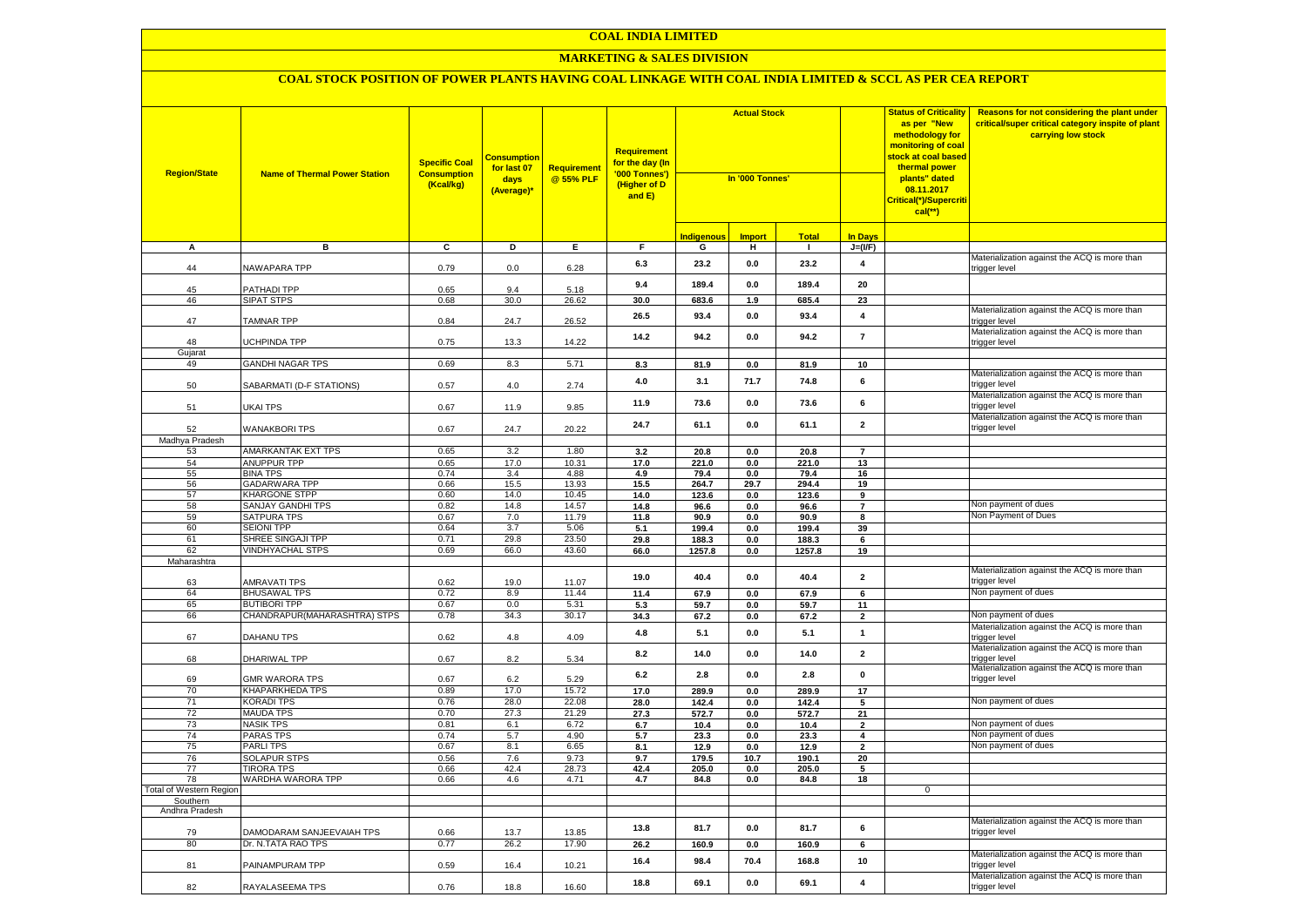#### **MARKETING & SALES DIVISION**

| <b>Region/State</b>            | <b>Name of Thermal Power Station</b>        | <b>Specific Coal</b><br><b>Consumption</b><br>(Kcal/kg) | <b>Consumption</b><br>for last 07<br>days<br>(Average)* | Requirement<br>@ 55% PLF | <b>Requirement</b><br>f <mark>or the day (In</mark><br>'000 Tonnes')<br>(Higher of D<br>and E) | <b>Actual Stock</b><br>In '000 Tonnes' |                 |                |                         |             |                                                               |  |  | <b>Status of Criticality</b><br>as per "New<br>methodology for<br>monitoring of coal<br>stock at coal based<br>thermal power<br>plants" dated<br>08.11.2017<br>Critical(*)/Supercriti<br>$cal$ (**) | Reasons for not considering the plant under<br>critical/super critical category inspite of plant<br>carrying low stock |
|--------------------------------|---------------------------------------------|---------------------------------------------------------|---------------------------------------------------------|--------------------------|------------------------------------------------------------------------------------------------|----------------------------------------|-----------------|----------------|-------------------------|-------------|---------------------------------------------------------------|--|--|-----------------------------------------------------------------------------------------------------------------------------------------------------------------------------------------------------|------------------------------------------------------------------------------------------------------------------------|
|                                |                                             |                                                         |                                                         |                          |                                                                                                | <b>Indigenous</b>                      | <b>Import</b>   | <b>Total</b>   | <b>In Days</b>          |             |                                                               |  |  |                                                                                                                                                                                                     |                                                                                                                        |
| А                              | в                                           | C                                                       | D                                                       | Е.                       | F.                                                                                             | G                                      | н               | -1             | $J=(VF)$                |             |                                                               |  |  |                                                                                                                                                                                                     |                                                                                                                        |
| 44                             | NAWAPARA TPP                                | 0.79                                                    | 0.0                                                     | 6.28                     | 6.3                                                                                            | 23.2                                   | 0.0             | 23.2           | $\overline{\mathbf{4}}$ |             | Materialization against the ACQ is more than<br>rigger level  |  |  |                                                                                                                                                                                                     |                                                                                                                        |
| 45                             | PATHADI TPP                                 | 0.65                                                    | 9.4                                                     | 5.18                     | 9.4                                                                                            | 189.4                                  | 0.0             | 189.4          | 20                      |             |                                                               |  |  |                                                                                                                                                                                                     |                                                                                                                        |
| 46                             | <b>SIPAT STPS</b>                           | 0.68                                                    | 30.0                                                    | 26.62                    | 30.0                                                                                           | 683.6                                  | 1.9             | 685.4          | 23                      |             |                                                               |  |  |                                                                                                                                                                                                     |                                                                                                                        |
| 47                             | <b>TAMNAR TPP</b>                           | 0.84                                                    | 24.7                                                    | 26.52                    | 26.5                                                                                           | 93.4                                   | 0.0             | 93.4           | $\overline{\mathbf{4}}$ |             | Materialization against the ACQ is more than<br>trigger level |  |  |                                                                                                                                                                                                     |                                                                                                                        |
| 48                             | <b>UCHPINDA TPP</b>                         | 0.75                                                    | 13.3                                                    | 14.22                    | 14.2                                                                                           | 94.2                                   | 0.0             | 94.2           | $\overline{7}$          |             | Materialization against the ACQ is more than<br>trigger level |  |  |                                                                                                                                                                                                     |                                                                                                                        |
| Gujarat                        | <b>GANDHI NAGAR TPS</b>                     | 0.69                                                    | 8.3                                                     | 5.71                     |                                                                                                |                                        |                 |                |                         |             |                                                               |  |  |                                                                                                                                                                                                     |                                                                                                                        |
| 49<br>50                       | SABARMATI (D-F STATIONS)                    | 0.57                                                    | $4.0\,$                                                 | 2.74                     | 8.3<br>4.0                                                                                     | 81.9<br>3.1                            | $0.0\,$<br>71.7 | 81.9<br>74.8   | 10<br>6                 |             | Materialization against the ACQ is more than<br>rigger level  |  |  |                                                                                                                                                                                                     |                                                                                                                        |
| 51                             | UKAI TPS                                    | 0.67                                                    | 11.9                                                    | 9.85                     | 11.9                                                                                           | 73.6                                   | 0.0             | 73.6           | 6                       |             | Materialization against the ACQ is more than<br>trigger level |  |  |                                                                                                                                                                                                     |                                                                                                                        |
| 52                             | <b>WANAKBORI TPS</b>                        | 0.67                                                    | 24.7                                                    | 20.22                    | 24.7                                                                                           | 61.1                                   | 0.0             | 61.1           | $\overline{\mathbf{2}}$ |             | Materialization against the ACQ is more than<br>rigger level: |  |  |                                                                                                                                                                                                     |                                                                                                                        |
| Madhya Pradesh                 |                                             |                                                         |                                                         |                          |                                                                                                |                                        |                 |                |                         |             |                                                               |  |  |                                                                                                                                                                                                     |                                                                                                                        |
| 53                             | AMARKANTAK EXT TPS                          | 0.65                                                    | 3.2                                                     | 1.80                     | 3.2                                                                                            | 20.8                                   | 0.0             | 20.8           | $\overline{7}$          |             |                                                               |  |  |                                                                                                                                                                                                     |                                                                                                                        |
| 54                             | ANUPPUR TPP                                 | 0.65                                                    | 17.0                                                    | 10.31                    | 17.0                                                                                           | 221.0                                  | 0.0             | 221.0          | 13                      |             |                                                               |  |  |                                                                                                                                                                                                     |                                                                                                                        |
| 55                             | <b>BINA TPS</b>                             | 0.74                                                    | 3.4                                                     | 4.88                     | 4.9                                                                                            | 79.4                                   | 0.0             | 79.4           | 16                      |             |                                                               |  |  |                                                                                                                                                                                                     |                                                                                                                        |
| 56                             | <b>GADARWARA TPP</b>                        | 0.66                                                    | 15.5                                                    | 13.93                    | 15.5                                                                                           | 264.7                                  | 29.7            | 294.4          | 19                      |             |                                                               |  |  |                                                                                                                                                                                                     |                                                                                                                        |
| 57                             | <b>KHARGONE STPP</b>                        | 0.60                                                    | 14.0                                                    | 10.45                    | 14.0                                                                                           | 123.6                                  | 0.0             | 123.6          | 9                       |             |                                                               |  |  |                                                                                                                                                                                                     |                                                                                                                        |
| 58                             | SANJAY GANDHI TPS                           | 0.82                                                    | 14.8                                                    | 14.57                    | 14.8                                                                                           | 96.6                                   | 0.0             | 96.6           | $\overline{7}$          |             | Non payment of dues                                           |  |  |                                                                                                                                                                                                     |                                                                                                                        |
| 59<br>60                       | <b>SATPURA TPS</b><br><b>SEIONI TPP</b>     | 0.67                                                    | 7.0<br>3.7                                              | 11.79                    | 11.8                                                                                           | 90.9                                   | $0.0\,$         | 90.9           | 8                       |             | Non Payment of Dues                                           |  |  |                                                                                                                                                                                                     |                                                                                                                        |
| 61                             | SHREE SINGAJI TPP                           | 0.64<br>0.71                                            | 29.8                                                    | 5.06<br>23.50            | 5.1<br>29.8                                                                                    | 199.4<br>188.3                         | 0.0<br>0.0      | 199.4<br>188.3 | 39<br>6                 |             |                                                               |  |  |                                                                                                                                                                                                     |                                                                                                                        |
| 62                             | <b>VINDHYACHAL STPS</b>                     | 0.69                                                    | 66.0                                                    | 43.60                    | 66.0                                                                                           | 1257.8                                 | 0.0             | 1257.8         | 19                      |             |                                                               |  |  |                                                                                                                                                                                                     |                                                                                                                        |
| Maharashtra                    |                                             |                                                         |                                                         |                          |                                                                                                |                                        |                 |                |                         |             |                                                               |  |  |                                                                                                                                                                                                     |                                                                                                                        |
| 63                             | <b>AMRAVATI TPS</b>                         | 0.62                                                    | 19.0                                                    | 11.07                    | 19.0                                                                                           | 40.4                                   | 0.0             | 40.4           | $\overline{\mathbf{2}}$ |             | Materialization against the ACQ is more than<br>rigger level  |  |  |                                                                                                                                                                                                     |                                                                                                                        |
| 64                             | <b>BHUSAWAL TPS</b>                         | 0.72                                                    | 8.9                                                     | 11.44                    | 11.4                                                                                           | 67.9                                   | $0.0\,$         | 67.9           | 6                       |             | Non payment of dues                                           |  |  |                                                                                                                                                                                                     |                                                                                                                        |
| 65                             | <b>BUTIBORI TPP</b>                         | 0.67                                                    | 0.0                                                     | 5.31                     | 5.3                                                                                            | 59.7                                   | 0.0             | 59.7           | 11                      |             |                                                               |  |  |                                                                                                                                                                                                     |                                                                                                                        |
| 66                             | CHANDRAPUR(MAHARASHTRA) STPS                | 0.78                                                    | 34.3                                                    | 30.17                    | 34.3                                                                                           | 67.2                                   | 0.0             | 67.2           | $\overline{2}$          |             | Non payment of dues                                           |  |  |                                                                                                                                                                                                     |                                                                                                                        |
| 67                             | DAHANU TPS                                  | 0.62                                                    | 4.8                                                     | 4.09                     | 4.8                                                                                            | 5.1                                    | 0.0             | 5.1            | $\mathbf{1}$            |             | Materialization against the ACQ is more than<br>trigger level |  |  |                                                                                                                                                                                                     |                                                                                                                        |
| 68                             | DHARIWAL TPP                                | 0.67                                                    | 8.2                                                     | 5.34                     | 8.2                                                                                            | 14.0                                   | 0.0             | 14.0           | $\mathbf 2$             |             | Materialization against the ACQ is more than<br>trigger level |  |  |                                                                                                                                                                                                     |                                                                                                                        |
| 69                             | <b>GMR WARORA TPS</b>                       | 0.67                                                    | 6.2                                                     | 5.29                     | 6.2                                                                                            | 2.8                                    | 0.0             | 2.8            | $\mathbf 0$             |             | Materialization against the ACQ is more than<br>trigger level |  |  |                                                                                                                                                                                                     |                                                                                                                        |
| 70<br>71                       | <b>KHAPARKHEDA TPS</b><br><b>KORADI TPS</b> | 0.89<br>0.76                                            | 17.0<br>28.0                                            | 15.72                    | 17.0                                                                                           | 289.9                                  | 0.0             | 289.9          | 17                      |             | Non payment of dues                                           |  |  |                                                                                                                                                                                                     |                                                                                                                        |
| 72                             | <b>MAUDA TPS</b>                            | 0.70                                                    | 27.3                                                    | 22.08<br>21.29           | 28.0<br>27.3                                                                                   | 142.4<br>572.7                         | 0.0<br>0.0      | 142.4<br>572.7 | 5<br>21                 |             |                                                               |  |  |                                                                                                                                                                                                     |                                                                                                                        |
| 73                             | <b>NASIK TPS</b>                            | 0.81                                                    | 6.1                                                     | 6.72                     | 6.7                                                                                            | 10.4                                   | 0.0             | 10.4           | $\mathbf 2$             |             | Non payment of dues                                           |  |  |                                                                                                                                                                                                     |                                                                                                                        |
| 74                             | <b>PARAS TPS</b>                            | 0.74                                                    | 5.7                                                     | 4.90                     | 5.7                                                                                            | 23.3                                   | 0.0             | 23.3           | $\overline{\mathbf{4}}$ |             | Non payment of dues                                           |  |  |                                                                                                                                                                                                     |                                                                                                                        |
| 75                             | <b>PARLITPS</b>                             | 0.67                                                    | 8.1                                                     | 6.65                     | 8.1                                                                                            | 12.9                                   | 0.0             | 12.9           | $\overline{\mathbf{2}}$ |             | Non payment of dues                                           |  |  |                                                                                                                                                                                                     |                                                                                                                        |
| 76                             | <b>SOLAPUR STPS</b>                         | 0.56                                                    | 7.6                                                     | 9.73                     | 9.7                                                                                            | 179.5                                  | 10.7            | 190.1          | 20                      |             |                                                               |  |  |                                                                                                                                                                                                     |                                                                                                                        |
| 77                             | TIRORA TPS                                  | 0.66                                                    | 42.4                                                    | 28.73                    | 42.4                                                                                           | 205.0                                  | 0.0             | 205.0          | 5                       |             |                                                               |  |  |                                                                                                                                                                                                     |                                                                                                                        |
| 78                             | WARDHA WARORA TPP                           | 0.66                                                    | 4.6                                                     | 4.71                     | 4.7                                                                                            | 84.8                                   | $0.0\,$         | 84.8           | 18                      |             |                                                               |  |  |                                                                                                                                                                                                     |                                                                                                                        |
| <b>Total of Western Region</b> |                                             |                                                         |                                                         |                          |                                                                                                |                                        |                 |                |                         | $\mathbf 0$ |                                                               |  |  |                                                                                                                                                                                                     |                                                                                                                        |
| Southern<br>Andhra Pradesh     |                                             |                                                         |                                                         |                          |                                                                                                |                                        |                 |                |                         |             |                                                               |  |  |                                                                                                                                                                                                     |                                                                                                                        |
| 79                             | DAMODARAM SANJEEVAIAH TPS                   | 0.66                                                    | 13.7                                                    | 13.85                    | 13.8                                                                                           | 81.7                                   | 0.0             | 81.7           | 6                       |             | Materialization against the ACQ is more than<br>trigger level |  |  |                                                                                                                                                                                                     |                                                                                                                        |
| 80                             | Dr. N.TATA RAO TPS                          | 0.77                                                    | 26.2                                                    | 17.90                    | 26.2                                                                                           | 160.9                                  | 0.0             | 160.9          | 6                       |             |                                                               |  |  |                                                                                                                                                                                                     |                                                                                                                        |
| 81                             | PAINAMPURAM TPP                             | 0.59                                                    | 16.4                                                    | 10.21                    | 16.4                                                                                           | 98.4                                   | 70.4            | 168.8          | 10                      |             | Materialization against the ACQ is more than<br>rigger level  |  |  |                                                                                                                                                                                                     |                                                                                                                        |
| 82                             | RAYALASEEMA TPS                             | 0.76                                                    | 18.8                                                    | 16.60                    | 18.8                                                                                           | 69.1                                   | 0.0             | 69.1           | $\overline{\mathbf{4}}$ |             | Materialization against the ACQ is more than<br>trigger level |  |  |                                                                                                                                                                                                     |                                                                                                                        |
|                                |                                             |                                                         |                                                         |                          |                                                                                                |                                        |                 |                |                         |             |                                                               |  |  |                                                                                                                                                                                                     |                                                                                                                        |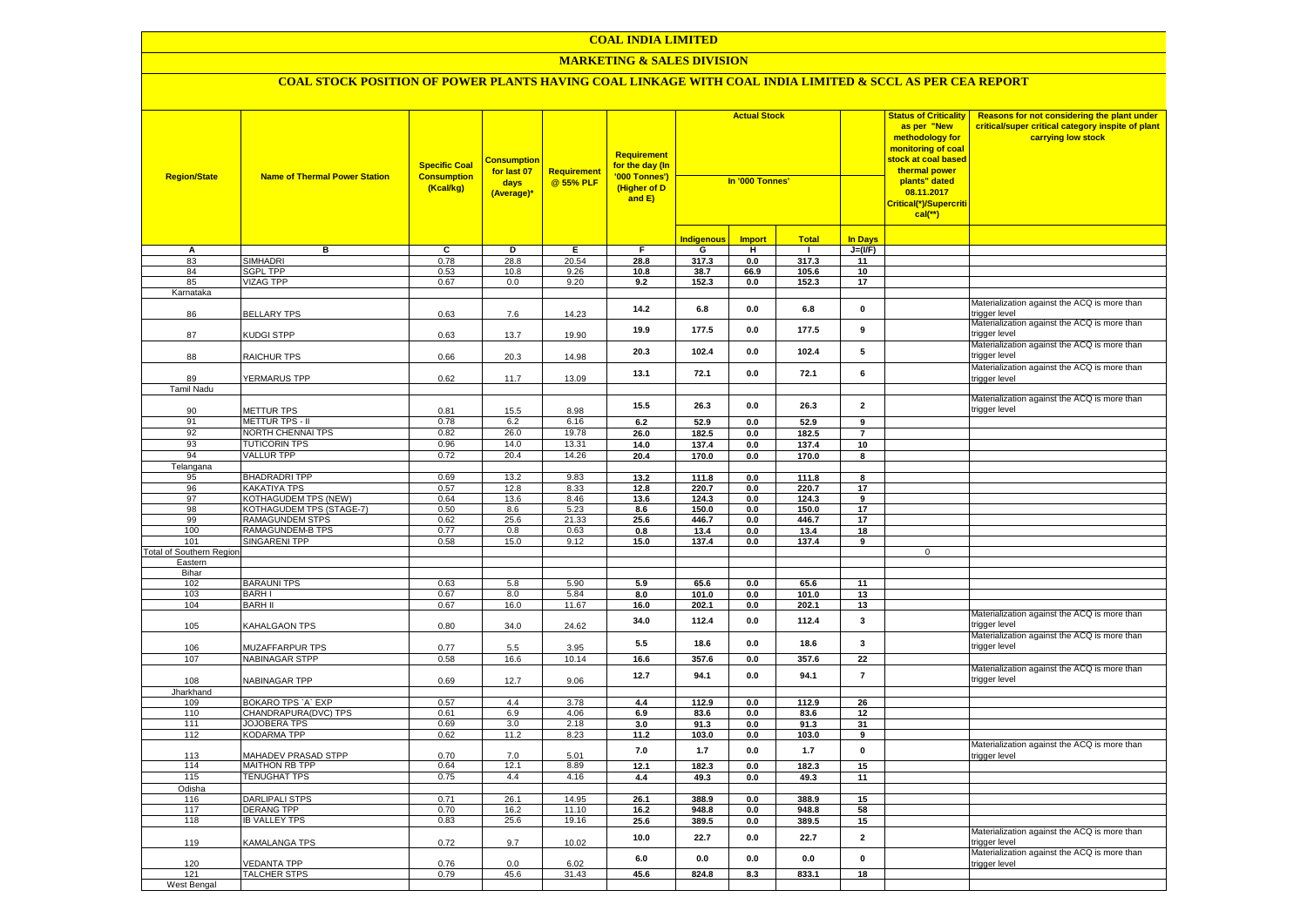#### **MARKETING & SALES DIVISION**

| <b>Region/State</b>                    | <b>Name of Thermal Power Station</b>        | <b>Specific Coal</b><br><b>Consumption</b><br>(Kcal/kg) | <b>Consumptior</b><br>for last 07<br>days<br>(Average)* | <b>Requirement</b><br>@ 55% PLF | <b>Requirement</b><br>for the day (In<br>'000 Tonnes')<br>(Higher of D<br>and E) | <b>Actual Stock</b><br>In '000 Tonnes' |                |               |                         | <b>Status of Criticality</b><br>as per "New<br>methodology for<br>monitoring of coal<br><mark>stock at coal based</mark><br>thermal power<br>plants" dated<br>08.11.2017<br>Critical(*)/Supercriti<br>$cal$ (**) | Reasons for not considering the plant under<br>critical/super critical category inspite of plant<br>carrying low stock |
|----------------------------------------|---------------------------------------------|---------------------------------------------------------|---------------------------------------------------------|---------------------------------|----------------------------------------------------------------------------------|----------------------------------------|----------------|---------------|-------------------------|------------------------------------------------------------------------------------------------------------------------------------------------------------------------------------------------------------------|------------------------------------------------------------------------------------------------------------------------|
|                                        |                                             |                                                         |                                                         |                                 |                                                                                  | <b>Indigenous</b>                      | <b>Import</b>  | <b>Total</b>  | <b>In Davs</b>          |                                                                                                                                                                                                                  |                                                                                                                        |
| А                                      | в                                           | $\overline{c}$                                          | Þ                                                       | E                               | $\overline{F}$                                                                   | G                                      | н              | - 1           | $J=(VF)$                |                                                                                                                                                                                                                  |                                                                                                                        |
| 83                                     | <b>SIMHADRI</b>                             | 0.78                                                    | 28.8                                                    | 20.54                           | 28.8                                                                             | 317.3                                  | 0.0            | 317.3         | 11                      |                                                                                                                                                                                                                  |                                                                                                                        |
| 84                                     | <b>SGPL TPP</b>                             | 0.53                                                    | 10.8                                                    | 9.26                            | 10.8                                                                             | 38.7                                   | 66.9           | 105.6         | 10                      |                                                                                                                                                                                                                  |                                                                                                                        |
| 85                                     | <b>VIZAG TPP</b>                            | 0.67                                                    | 0.0                                                     | 9.20                            | 9.2                                                                              | 152.3                                  | 0.0            | 152.3         | 17                      |                                                                                                                                                                                                                  |                                                                                                                        |
| Karnataka                              |                                             |                                                         |                                                         |                                 |                                                                                  |                                        |                |               |                         |                                                                                                                                                                                                                  |                                                                                                                        |
| 86                                     | <b>BELLARY TPS</b>                          | 0.63                                                    | 7.6                                                     | 14.23                           | 14.2                                                                             | 6.8                                    | $0.0\,$        | 6.8           | $\mathbf 0$             |                                                                                                                                                                                                                  | Materialization against the ACQ is more than<br>trigger level                                                          |
| 87                                     | KUDGI STPP                                  | 0.63                                                    | 13.7                                                    | 19.90                           | 19.9                                                                             | 177.5                                  | 0.0            | 177.5         | 9                       |                                                                                                                                                                                                                  | Materialization against the ACQ is more than<br>trigger level                                                          |
| 88                                     | <b>RAICHUR TPS</b>                          | 0.66                                                    | 20.3                                                    | 14.98                           | 20.3                                                                             | 102.4                                  | 0.0            | 102.4         | 5                       |                                                                                                                                                                                                                  | Materialization against the ACQ is more than<br>rigger level                                                           |
|                                        |                                             |                                                         |                                                         |                                 | 13.1                                                                             | 72.1                                   | 0.0            | 72.1          | 6                       |                                                                                                                                                                                                                  | Materialization against the ACQ is more than                                                                           |
| 89                                     | YERMARUS TPP                                | 0.62                                                    | 11.7                                                    | 13.09                           |                                                                                  |                                        |                |               |                         |                                                                                                                                                                                                                  | rigger level                                                                                                           |
| Tamil Nadu                             |                                             |                                                         |                                                         |                                 |                                                                                  |                                        |                |               |                         |                                                                                                                                                                                                                  | Materialization against the ACQ is more than                                                                           |
| 90                                     | <b>METTUR TPS</b>                           | 0.81                                                    | 15.5                                                    | 8.98                            | 15.5                                                                             | 26.3                                   | 0.0            | 26.3          | $\overline{\mathbf{2}}$ |                                                                                                                                                                                                                  | trigger level                                                                                                          |
| 91                                     | METTUR TPS - II                             | 0.78                                                    | 6.2                                                     | 6.16                            | 6.2                                                                              | 52.9                                   | 0.0            | 52.9          | 9                       |                                                                                                                                                                                                                  |                                                                                                                        |
| 92                                     | NORTH CHENNAI TPS                           | 0.82                                                    | 26.0                                                    | 19.78                           | 26.0                                                                             | 182.5                                  | 0.0            | 182.5         | $\overline{7}$          |                                                                                                                                                                                                                  |                                                                                                                        |
| 93                                     | <b>TUTICORIN TPS</b>                        | 0.96                                                    | 14.0                                                    | 13.31                           | 14.0                                                                             | 137.4                                  | 0.0            | 137.4         | 10                      |                                                                                                                                                                                                                  |                                                                                                                        |
| 94                                     | <b>VALLUR TPP</b>                           | 0.72                                                    | 20.4                                                    | 14.26                           | 20.4                                                                             | 170.0                                  | $0.0\,$        | 170.0         | 8                       |                                                                                                                                                                                                                  |                                                                                                                        |
| Telangana                              |                                             |                                                         |                                                         |                                 |                                                                                  |                                        |                |               |                         |                                                                                                                                                                                                                  |                                                                                                                        |
| 95                                     | <b>BHADRADRI TPP</b>                        | 0.69                                                    | 13.2                                                    | 9.83                            | 13.2                                                                             | 111.8                                  | 0.0            | 111.8         | $\overline{\mathbf{8}}$ |                                                                                                                                                                                                                  |                                                                                                                        |
| 96                                     | <b>KAKATIYA TPS</b>                         | 0.57                                                    | 12.8                                                    | 8.33                            | 12.8                                                                             | 220.7                                  | 0.0            | 220.7         | 17                      |                                                                                                                                                                                                                  |                                                                                                                        |
| 97                                     | KOTHAGUDEM TPS (NEW)                        | 0.64                                                    | 13.6                                                    | 8.46                            | 13.6                                                                             | 124.3                                  | 0.0            | 124.3         | $\overline{9}$          |                                                                                                                                                                                                                  |                                                                                                                        |
| 98                                     | KOTHAGUDEM TPS (STAGE-7)                    | 0.50                                                    | 8.6                                                     | 5.23                            | 8.6                                                                              | 150.0                                  | 0.0            | 150.0         | 17                      |                                                                                                                                                                                                                  |                                                                                                                        |
| 99<br>100                              | RAMAGUNDEM STPS                             | 0.62                                                    | 25.6<br>0.8                                             | 21.33<br>0.63                   | 25.6                                                                             | 446.7                                  | 0.0            | 446.7         | 17                      |                                                                                                                                                                                                                  |                                                                                                                        |
|                                        | RAMAGUNDEM-B TPS<br>SINGARENI TPP           | 0.77<br>0.58                                            | 15.0                                                    | 9.12                            | 0.8<br>15.0                                                                      | 13.4<br>137.4                          | 0.0<br>$0.0\,$ | 13.4<br>137.4 | 18<br>9                 |                                                                                                                                                                                                                  |                                                                                                                        |
| 101<br><b>Total of Southern Region</b> |                                             |                                                         |                                                         |                                 |                                                                                  |                                        |                |               |                         | $\mathbf 0$                                                                                                                                                                                                      |                                                                                                                        |
| Eastern                                |                                             |                                                         |                                                         |                                 |                                                                                  |                                        |                |               |                         |                                                                                                                                                                                                                  |                                                                                                                        |
| Bihar                                  |                                             |                                                         |                                                         |                                 |                                                                                  |                                        |                |               |                         |                                                                                                                                                                                                                  |                                                                                                                        |
| 102                                    | <b>BARAUNI TPS</b>                          | 0.63                                                    | 5.8                                                     | 5.90                            | 5.9                                                                              | 65.6                                   | 0.0            | 65.6          | 11                      |                                                                                                                                                                                                                  |                                                                                                                        |
| 103                                    | <b>BARHI</b>                                | 0.67                                                    | 8.0                                                     | 5.84                            | 8.0                                                                              | 101.0                                  | 0.0            | 101.0         | 13                      |                                                                                                                                                                                                                  |                                                                                                                        |
| 104                                    | <b>BARH II</b>                              | 0.67                                                    | 16.0                                                    | 11.67                           | 16.0                                                                             | 202.1                                  | 0.0            | 202.1         | 13                      |                                                                                                                                                                                                                  |                                                                                                                        |
| 105                                    | KAHALGAON TPS                               | 0.80                                                    | 34.0                                                    | 24.62                           | 34.0                                                                             | 112.4                                  | 0.0            | 112.4         | 3                       |                                                                                                                                                                                                                  | Materialization against the ACQ is more than<br>rigger level:                                                          |
| 106                                    | MUZAFFARPUR TPS                             | 0.77                                                    | 5.5                                                     | 3.95                            | 5.5                                                                              | 18.6                                   | 0.0            | 18.6          | $\mathbf{3}$            |                                                                                                                                                                                                                  | Materialization against the ACQ is more than<br>rigger level                                                           |
| 107                                    | <b>NABINAGAR STPP</b>                       | 0.58                                                    | 16.6                                                    | 10.14                           | 16.6                                                                             | 357.6                                  | 0.0            | 357.6         | 22                      |                                                                                                                                                                                                                  |                                                                                                                        |
| 108                                    | NABINAGAR TPP                               | 0.69                                                    | 12.7                                                    | 9.06                            | 12.7                                                                             | 94.1                                   | 0.0            | 94.1          | $\overline{7}$          |                                                                                                                                                                                                                  | Materialization against the ACQ is more than<br>rigger level                                                           |
| Jharkhand                              |                                             |                                                         |                                                         |                                 |                                                                                  |                                        |                |               |                         |                                                                                                                                                                                                                  |                                                                                                                        |
| 109                                    | BOKARO TPS 'A' EXP                          | 0.57                                                    | 4.4                                                     | 3.78                            | 4.4                                                                              | 112.9                                  | $0.0\,$        | 112.9         | 26                      |                                                                                                                                                                                                                  |                                                                                                                        |
| 110<br>111                             | CHANDRAPURA(DVC) TPS<br><b>JOJOBERA TPS</b> | 0.61<br>0.69                                            | 6.9<br>3.0                                              | 4.06<br>2.18                    | 6.9<br>3.0                                                                       | 83.6<br>91.3                           | $0.0\,$<br>0.0 | 83.6<br>91.3  | 12<br>31                |                                                                                                                                                                                                                  |                                                                                                                        |
| 112                                    | KODARMA TPP                                 | 0.62                                                    | 11.2                                                    | 8.23                            | 11.2                                                                             | 103.0                                  | 0.0            | 103.0         | 9                       |                                                                                                                                                                                                                  |                                                                                                                        |
|                                        |                                             |                                                         |                                                         |                                 |                                                                                  |                                        |                |               |                         |                                                                                                                                                                                                                  | Materialization against the ACQ is more than                                                                           |
| 113                                    | MAHADEV PRASAD STPP                         | 0.70                                                    | $7.0\,$                                                 | 5.01                            | 7.0                                                                              | $1.7$                                  | 0.0            | $1.7$         | $\pmb{0}$               |                                                                                                                                                                                                                  | rigger level                                                                                                           |
| 114                                    | <b>MAITHON RB TPP</b>                       | 0.64                                                    | 12.1                                                    | 8.89                            | 12.1                                                                             | 182.3                                  | 0.0            | 182.3         | 15                      |                                                                                                                                                                                                                  |                                                                                                                        |
| 115                                    | <b>TENUGHAT TPS</b>                         | 0.75                                                    | 4.4                                                     | 4.16                            | 4.4                                                                              | 49.3                                   | 0.0            | 49.3          | 11                      |                                                                                                                                                                                                                  |                                                                                                                        |
| Odisha                                 |                                             |                                                         |                                                         |                                 |                                                                                  |                                        |                |               |                         |                                                                                                                                                                                                                  |                                                                                                                        |
| 116                                    | <b>DARLIPALI STPS</b>                       | 0.71                                                    | 26.1                                                    | 14.95                           | 26.1                                                                             | 388.9                                  | 0.0            | 388.9         | 15                      |                                                                                                                                                                                                                  |                                                                                                                        |
| 117                                    | DERANG TPP                                  | 0.70                                                    | 16.2                                                    | 11.10                           | 16.2                                                                             | 948.8                                  | 0.0            | 948.8         | 58                      |                                                                                                                                                                                                                  |                                                                                                                        |
| 118                                    | <b>IB VALLEY TPS</b>                        | 0.83                                                    | 25.6                                                    | 19.16                           | 25.6                                                                             | 389.5                                  | $0.0\,$        | 389.5         | 15                      |                                                                                                                                                                                                                  |                                                                                                                        |
| 119                                    | <b>KAMALANGA TPS</b>                        | 0.72                                                    | 9.7                                                     | 10.02                           | 10.0                                                                             | 22.7                                   | 0.0            | 22.7          | $\mathbf 2$             |                                                                                                                                                                                                                  | Materialization against the ACQ is more than<br>rigger level                                                           |
| 120                                    | <b>/EDANTA TPP</b>                          | 0.76                                                    | 0.0                                                     | 6.02                            | 6.0                                                                              | 0.0                                    | 0.0            | 0.0           | $\mathbf 0$             |                                                                                                                                                                                                                  | Materialization against the ACQ is more than<br>trigger level                                                          |
| 121                                    | <b>TALCHER STPS</b>                         | 0.79                                                    | 45.6                                                    | 31.43                           | 45.6                                                                             | 824.8                                  | 8.3            | 833.1         | 18                      |                                                                                                                                                                                                                  |                                                                                                                        |
| West Bengal                            |                                             |                                                         |                                                         |                                 |                                                                                  |                                        |                |               |                         |                                                                                                                                                                                                                  |                                                                                                                        |